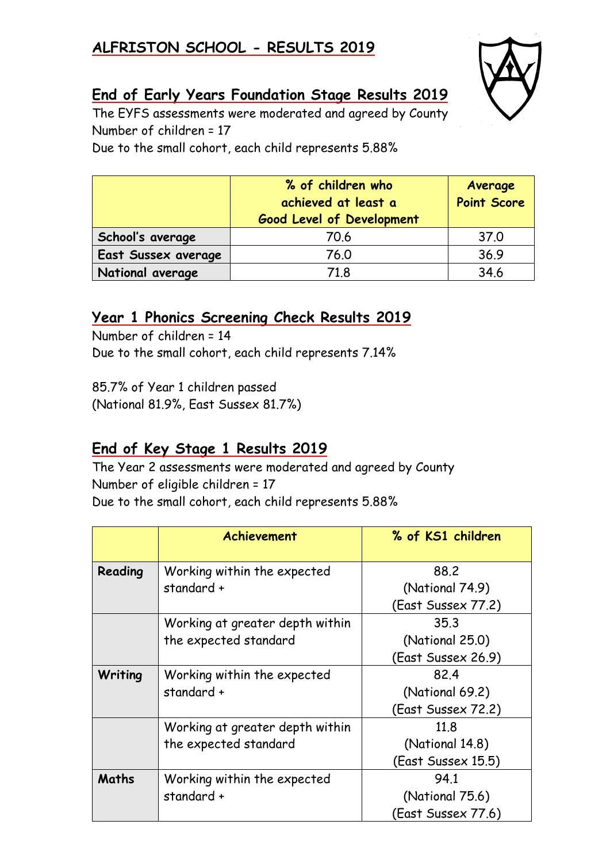## **ALFRISTON SCHOOL - RESULTS 2019**



## **End of Early Years Foundation Stage Results 2019**

The EYFS assessments were moderated and agreed by County Number of children = 17

Due to the small cohort, each child represents 5.88%

|                     | % of children who<br>achieved at least a<br><b>Good Level of Development</b> | Average<br><b>Point Score</b> |
|---------------------|------------------------------------------------------------------------------|-------------------------------|
| School's average    | 70.6                                                                         | 37.0                          |
| East Sussex average | 76.0                                                                         | 36.9                          |
| National average    | 71.8                                                                         | 34.6                          |

#### **Year 1 Phonics Screening Check Results 2019**

Number of children = 14 Due to the small cohort, each child represents 7.14%

85.7% of Year 1 children passed (National 81.9%, East Sussex 81.7%)

## **End of Key Stage 1 Results 2019**

The Year 2 assessments were moderated and agreed by County Number of eligible children = 17 Due to the small cohort, each child represents 5.88%

|         | Achievement                     | % of KS1 children  |  |
|---------|---------------------------------|--------------------|--|
| Reading | Working within the expected     | 88.2               |  |
|         | standard +                      | (National 74.9)    |  |
|         |                                 | (East Sussex 77.2) |  |
|         | Working at greater depth within | 35.3               |  |
|         | the expected standard           | (National 25.0)    |  |
|         |                                 | (East Sussex 26.9) |  |
| Writing | Working within the expected     | 82.4               |  |
|         | standard +                      | (National 69.2)    |  |
|         |                                 | (East Sussex 72.2) |  |
|         | Working at greater depth within | 11.8               |  |
|         | the expected standard           | (National 14.8)    |  |
|         |                                 | (East Sussex 15.5) |  |
| Maths   | Working within the expected     | 94.1               |  |
|         | standard +                      | (National 75.6)    |  |
|         |                                 | (East Sussex 77.6) |  |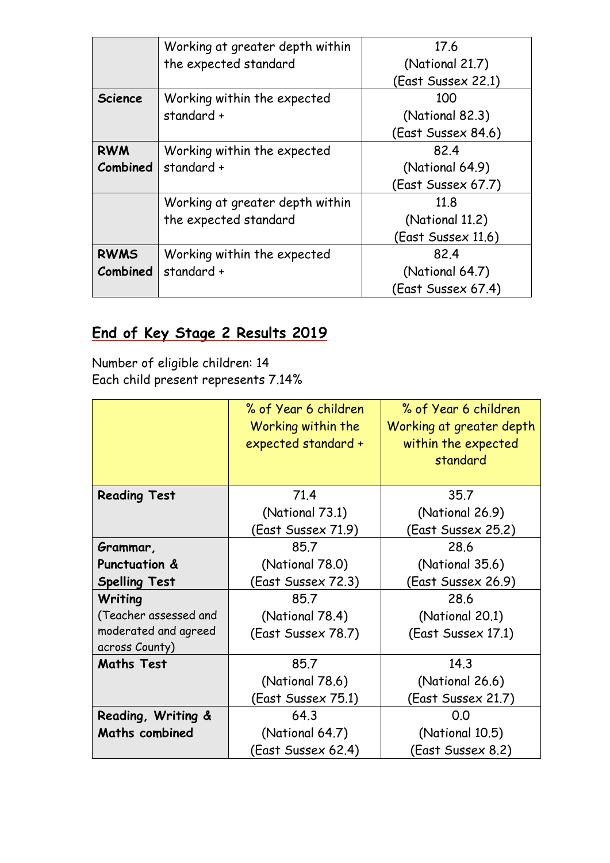|                 | Working at greater depth within | 17.6               |  |
|-----------------|---------------------------------|--------------------|--|
|                 | the expected standard           | (National 21.7)    |  |
|                 |                                 | (East Sussex 22.1) |  |
| <b>Science</b>  | Working within the expected     | 100                |  |
|                 | standard +<br>(National 82.3)   |                    |  |
|                 |                                 | (East Sussex 84.6) |  |
| <b>RWM</b>      | Working within the expected     | 82.4               |  |
| <b>Combined</b> | standard +                      | (National 64.9)    |  |
|                 |                                 | (East Sussex 67.7) |  |
|                 | Working at greater depth within | 11.8               |  |
|                 | the expected standard           | (National 11.2)    |  |
|                 |                                 | (East Sussex 11.6) |  |
| <b>RWMS</b>     | Working within the expected     | 82.4               |  |
| Combined        | standard +                      | (National 64.7)    |  |
|                 |                                 | (East Sussex 67.4) |  |

# **End of Key Stage 2 Results 2019**

Number of eligible children: 14 Each child present represents 7.14%

|                          | % of Year 6 children<br>Working within the | % of Year 6 children<br>Working at greater depth |  |
|--------------------------|--------------------------------------------|--------------------------------------------------|--|
|                          | expected standard +                        | within the expected                              |  |
|                          |                                            | standard                                         |  |
|                          |                                            |                                                  |  |
| <b>Reading Test</b>      | 71.4                                       | 35.7                                             |  |
|                          | (National 73.1)                            | (National 26.9)                                  |  |
|                          | (East Sussex 71.9)                         | (East Sussex 25.2)                               |  |
| Grammar,                 | 85.7                                       | 28.6                                             |  |
| <b>Punctuation &amp;</b> | (National 78.0)                            | (National 35.6)                                  |  |
| <b>Spelling Test</b>     | (East Sussex 72.3)                         | (East Sussex 26.9)                               |  |
| Writing                  | 85.7                                       | 28.6                                             |  |
| (Teacher assessed and    | (National 78.4)                            | (National 20.1)                                  |  |
| moderated and agreed     | (East Sussex 78.7)                         | (East Sussex 17.1)                               |  |
| across County)           |                                            |                                                  |  |
| <b>Maths Test</b>        | 85.7                                       | 14.3                                             |  |
|                          | (National 78.6)                            | (National 26.6)                                  |  |
|                          | (East Sussex 75.1)                         | (East Sussex 21.7)                               |  |
| Reading, Writing &       | 64.3                                       | 0.0                                              |  |
| <b>Maths combined</b>    | (National 64.7)                            | (National 10.5)                                  |  |
|                          | (East Sussex 62.4)                         | (East Sussex 8.2)                                |  |